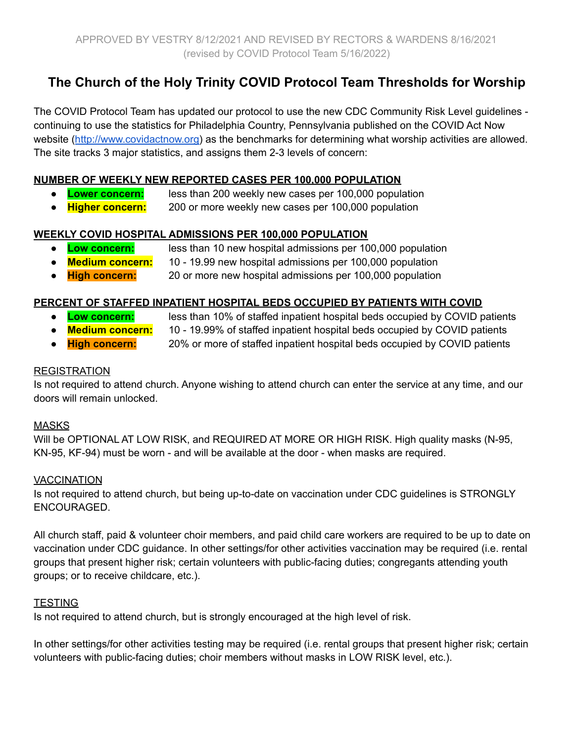# **The Church of the Holy Trinity COVID Protocol Team Thresholds for Worship**

The COVID Protocol Team has updated our protocol to use the new CDC Community Risk Level guidelines continuing to use the statistics for Philadelphia Country, Pennsylvania published on the COVID Act Now website ([http://www.covidactnow.org\)](http://www.covidactnow.org) as the benchmarks for determining what worship activities are allowed. The site tracks 3 major statistics, and assigns them 2-3 levels of concern:

#### **NUMBER OF WEEKLY NEW REPORTED CASES PER 100,000 POPULATION**

- **Lower concern:** less than 200 weekly new cases per 100,000 population
- **Higher concern:** 200 or more weekly new cases per 100,000 population

#### **WEEKLY COVID HOSPITAL ADMISSIONS PER 100,000 POPULATION**

- **Low concern:** less than 10 new hospital admissions per 100,000 population
- **Medium concern:** 10 19.99 new hospital admissions per 100,000 population
- **High concern:** 20 or more new hospital admissions per 100,000 population

#### **PERCENT OF STAFFED INPATIENT HOSPITAL BEDS OCCUPIED BY PATIENTS WITH COVID**

- 
- **Low concern:** less than 10% of staffed inpatient hospital beds occupied by COVID patients
- 
- **Medium concern:** 10 19.99% of staffed inpatient hospital beds occupied by COVID patients
- **High concern:** 20% or more of staffed inpatient hospital beds occupied by COVID patients

#### **REGISTRATION**

Is not required to attend church. Anyone wishing to attend church can enter the service at any time, and our doors will remain unlocked.

#### MASKS

Will be OPTIONAL AT LOW RISK, and REQUIRED AT MORE OR HIGH RISK. High quality masks (N-95, KN-95, KF-94) must be worn - and will be available at the door - when masks are required.

#### **VACCINATION**

Is not required to attend church, but being up-to-date on vaccination under CDC guidelines is STRONGLY ENCOURAGED.

All church staff, paid & volunteer choir members, and paid child care workers are required to be up to date on vaccination under CDC guidance. In other settings/for other activities vaccination may be required (i.e. rental groups that present higher risk; certain volunteers with public-facing duties; congregants attending youth groups; or to receive childcare, etc.).

#### **TESTING**

Is not required to attend church, but is strongly encouraged at the high level of risk.

In other settings/for other activities testing may be required (i.e. rental groups that present higher risk; certain volunteers with public-facing duties; choir members without masks in LOW RISK level, etc.).